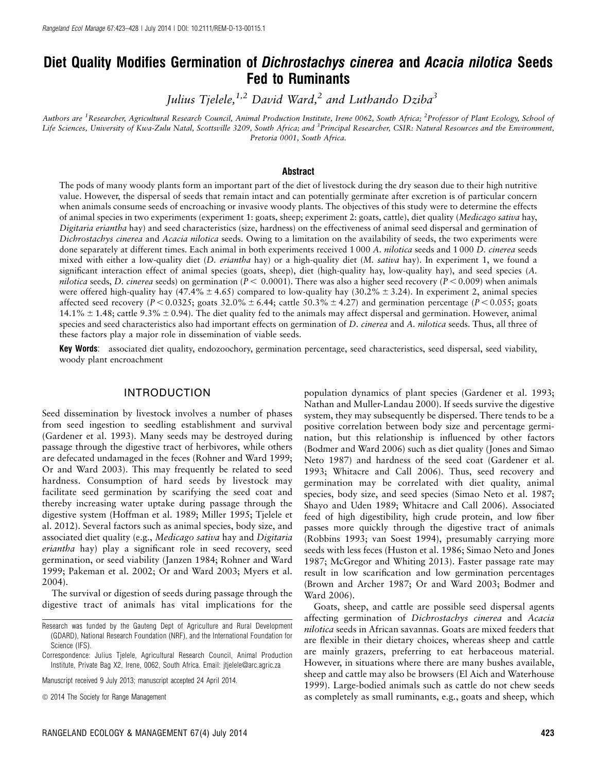# Diet Quality Modifies Germination of Dichrostachys cinerea and Acacia nilotica Seeds Fed to Ruminants

Julius Tjelele,<sup>1,2</sup> David Ward,<sup>2</sup> and Luthando Dziba<sup>3</sup>

Authors are <sup>1</sup>Researcher, Agricultural Research Council, Animal Production Institute, Irene 0062, South Africa; <sup>2</sup>Professor of Plant Ecology, School of Life Sciences, University of Kwa-Zulu Natal, Scottsville 3209, South Africa; and <sup>3</sup>Principal Researcher, CSIR: Natural Resources and the Environment, Pretoria 0001, South Africa.

#### Abstract

The pods of many woody plants form an important part of the diet of livestock during the dry season due to their high nutritive value. However, the dispersal of seeds that remain intact and can potentially germinate after excretion is of particular concern when animals consume seeds of encroaching or invasive woody plants. The objectives of this study were to determine the effects of animal species in two experiments (experiment 1: goats, sheep; experiment 2: goats, cattle), diet quality (Medicago sativa hay, Digitaria eriantha hay) and seed characteristics (size, hardness) on the effectiveness of animal seed dispersal and germination of Dichrostachys cinerea and Acacia nilotica seeds. Owing to a limitation on the availability of seeds, the two experiments were done separately at different times. Each animal in both experiments received 1000 A. *nilotica* seeds and 1000 D. *cinerea* seeds mixed with either a low-quality diet (D. *eriantha* hay) or a high-quality diet (M. *sativa* hay). In experiment 1, we found a significant interaction effect of animal species (goats, sheep), diet (high-quality hay, low-quality hay), and seed species (A. *nilotica* seeds, D. *cinerea* seeds) on germination ( $P < 0.0001$ ). There was also a higher seed recovery ( $P < 0.009$ ) when animals were offered high-quality hay (47.4%  $\pm$  4.65) compared to low-quality hay (30.2%  $\pm$  3.24). In experiment 2, animal species affected seed recovery ( $P < 0.0325$ ; goats 32.0%  $\pm$  6.44; cattle 50.3%  $\pm$  4.27) and germination percentage ( $P < 0.055$ ; goats 14.1%  $\pm$  1.48; cattle 9.3%  $\pm$  0.94). The diet quality fed to the animals may affect dispersal and germination. However, animal species and seed characteristics also had important effects on germination of D. cinerea and A. nilotica seeds. Thus, all three of these factors play a major role in dissemination of viable seeds.

Key Words: associated diet quality, endozoochory, germination percentage, seed characteristics, seed dispersal, seed viability, woody plant encroachment

## INTRODUCTION

Seed dissemination by livestock involves a number of phases from seed ingestion to seedling establishment and survival (Gardener et al. 1993). Many seeds may be destroyed during passage through the digestive tract of herbivores, while others are defecated undamaged in the feces (Rohner and Ward 1999; Or and Ward 2003). This may frequently be related to seed hardness. Consumption of hard seeds by livestock may facilitate seed germination by scarifying the seed coat and thereby increasing water uptake during passage through the digestive system (Hoffman et al. 1989; Miller 1995; Tjelele et al. 2012). Several factors such as animal species, body size, and associated diet quality (e.g., Medicago sativa hay and Digitaria eriantha hay) play a significant role in seed recovery, seed germination, or seed viability (Janzen 1984; Rohner and Ward 1999; Pakeman et al. 2002; Or and Ward 2003; Myers et al. 2004).

The survival or digestion of seeds during passage through the digestive tract of animals has vital implications for the

Manuscript received 9 July 2013; manuscript accepted 24 April 2014.

 $\odot$  2014 The Society for Range Management

population dynamics of plant species (Gardener et al. 1993; Nathan and Muller-Landau 2000). If seeds survive the digestive system, they may subsequently be dispersed. There tends to be a positive correlation between body size and percentage germination, but this relationship is influenced by other factors (Bodmer and Ward 2006) such as diet quality (Jones and Simao Neto 1987) and hardness of the seed coat (Gardener et al. 1993; Whitacre and Call 2006). Thus, seed recovery and germination may be correlated with diet quality, animal species, body size, and seed species (Simao Neto et al. 1987; Shayo and Uden 1989; Whitacre and Call 2006). Associated feed of high digestibility, high crude protein, and low fiber passes more quickly through the digestive tract of animals (Robbins 1993; van Soest 1994), presumably carrying more seeds with less feces (Huston et al. 1986; Simao Neto and Jones 1987; McGregor and Whiting 2013). Faster passage rate may result in low scarification and low germination percentages (Brown and Archer 1987; Or and Ward 2003; Bodmer and Ward 2006).

Goats, sheep, and cattle are possible seed dispersal agents affecting germination of Dichrostachys cinerea and Acacia nilotica seeds in African savannas. Goats are mixed feeders that are flexible in their dietary choices, whereas sheep and cattle are mainly grazers, preferring to eat herbaceous material. However, in situations where there are many bushes available, sheep and cattle may also be browsers (El Aich and Waterhouse 1999). Large-bodied animals such as cattle do not chew seeds as completely as small ruminants, e.g., goats and sheep, which

Research was funded by the Gauteng Dept of Agriculture and Rural Development (GDARD), National Research Foundation (NRF), and the International Foundation for Science (IFS).

Correspondence: Julius Tjelele, Agricultural Research Council, Animal Production Institute, Private Bag X2, Irene, 0062, South Africa. Email: jtjelele@arc.agric.za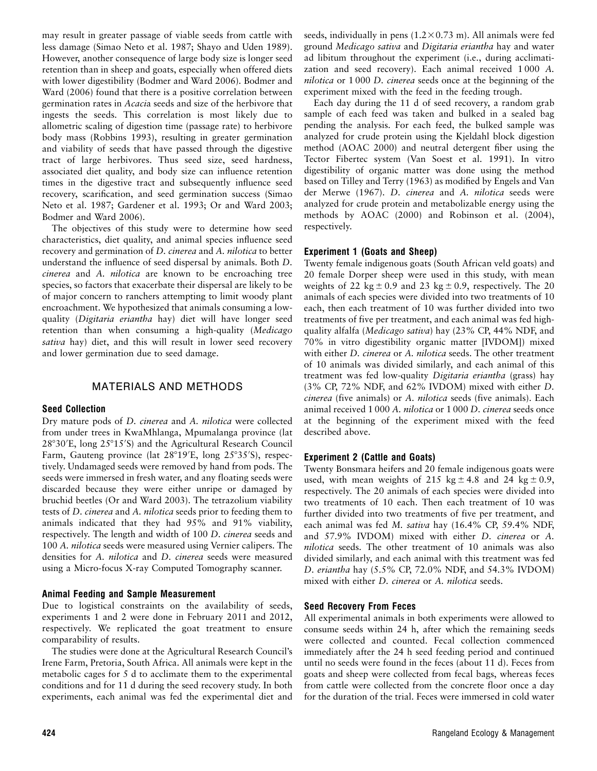may result in greater passage of viable seeds from cattle with less damage (Simao Neto et al. 1987; Shayo and Uden 1989). However, another consequence of large body size is longer seed retention than in sheep and goats, especially when offered diets with lower digestibility (Bodmer and Ward 2006). Bodmer and Ward (2006) found that there is a positive correlation between germination rates in Acacia seeds and size of the herbivore that ingests the seeds. This correlation is most likely due to allometric scaling of digestion time (passage rate) to herbivore body mass (Robbins 1993), resulting in greater germination and viability of seeds that have passed through the digestive tract of large herbivores. Thus seed size, seed hardness, associated diet quality, and body size can influence retention times in the digestive tract and subsequently influence seed recovery, scarification, and seed germination success (Simao Neto et al. 1987; Gardener et al. 1993; Or and Ward 2003; Bodmer and Ward 2006).

The objectives of this study were to determine how seed characteristics, diet quality, and animal species influence seed recovery and germination of D. cinerea and A. nilotica to better understand the influence of seed dispersal by animals. Both D. cinerea and A. nilotica are known to be encroaching tree species, so factors that exacerbate their dispersal are likely to be of major concern to ranchers attempting to limit woody plant encroachment. We hypothesized that animals consuming a lowquality (Digitaria eriantha hay) diet will have longer seed retention than when consuming a high-quality (Medicago sativa hay) diet, and this will result in lower seed recovery and lower germination due to seed damage.

# MATERIALS AND METHODS

## Seed Collection

Dry mature pods of D. cinerea and A. nilotica were collected from under trees in KwaMhlanga, Mpumalanga province (lat 28°30′E, long 25°15′S) and the Agricultural Research Council Farm, Gauteng province (lat 28°19'E, long 25°35'S), respectively. Undamaged seeds were removed by hand from pods. The seeds were immersed in fresh water, and any floating seeds were discarded because they were either unripe or damaged by bruchid beetles (Or and Ward 2003). The tetrazolium viability tests of D. cinerea and A. nilotica seeds prior to feeding them to animals indicated that they had 95% and 91% viability, respectively. The length and width of 100 D. cinerea seeds and 100 A. nilotica seeds were measured using Vernier calipers. The densities for A. nilotica and D. cinerea seeds were measured using a Micro-focus X-ray Computed Tomography scanner.

# Animal Feeding and Sample Measurement

Due to logistical constraints on the availability of seeds, experiments 1 and 2 were done in February 2011 and 2012, respectively. We replicated the goat treatment to ensure comparability of results.

The studies were done at the Agricultural Research Council's Irene Farm, Pretoria, South Africa. All animals were kept in the metabolic cages for 5 d to acclimate them to the experimental conditions and for 11 d during the seed recovery study. In both experiments, each animal was fed the experimental diet and

seeds, individually in pens  $(1.2 \times 0.73 \text{ m})$ . All animals were fed ground Medicago sativa and Digitaria eriantha hay and water ad libitum throughout the experiment (i.e., during acclimatization and seed recovery). Each animal received 1 000 A. nilotica or 1 000 D. cinerea seeds once at the beginning of the experiment mixed with the feed in the feeding trough.

Each day during the 11 d of seed recovery, a random grab sample of each feed was taken and bulked in a sealed bag pending the analysis. For each feed, the bulked sample was analyzed for crude protein using the Kjeldahl block digestion method (AOAC 2000) and neutral detergent fiber using the Tector Fibertec system (Van Soest et al. 1991). In vitro digestibility of organic matter was done using the method based on Tilley and Terry (1963) as modified by Engels and Van der Merwe (1967). D. cinerea and A. nilotica seeds were analyzed for crude protein and metabolizable energy using the methods by AOAC (2000) and Robinson et al. (2004), respectively.

## Experiment 1 (Goats and Sheep)

Twenty female indigenous goats (South African veld goats) and 20 female Dorper sheep were used in this study, with mean weights of 22 kg  $\pm$  0.9 and 23 kg  $\pm$  0.9, respectively. The 20 animals of each species were divided into two treatments of 10 each, then each treatment of 10 was further divided into two treatments of five per treatment, and each animal was fed highquality alfalfa (Medicago sativa) hay (23% CP, 44% NDF, and 70% in vitro digestibility organic matter [IVDOM]) mixed with either D. cinerea or A. nilotica seeds. The other treatment of 10 animals was divided similarly, and each animal of this treatment was fed low-quality Digitaria eriantha (grass) hay (3% CP, 72% NDF, and 62% IVDOM) mixed with either D. cinerea (five animals) or A. nilotica seeds (five animals). Each animal received 1 000 A. nilotica or 1 000 D. cinerea seeds once at the beginning of the experiment mixed with the feed described above.

# Experiment 2 (Cattle and Goats)

Twenty Bonsmara heifers and 20 female indigenous goats were used, with mean weights of 215 kg  $\pm$  4.8 and 24 kg  $\pm$  0.9, respectively. The 20 animals of each species were divided into two treatments of 10 each. Then each treatment of 10 was further divided into two treatments of five per treatment, and each animal was fed M. sativa hay (16.4% CP, 59.4% NDF, and 57.9% IVDOM) mixed with either D. cinerea or A. nilotica seeds. The other treatment of 10 animals was also divided similarly, and each animal with this treatment was fed D. eriantha hay (5.5% CP, 72.0% NDF, and 54.3% IVDOM) mixed with either D. cinerea or A. nilotica seeds.

## Seed Recovery From Feces

All experimental animals in both experiments were allowed to consume seeds within 24 h, after which the remaining seeds were collected and counted. Fecal collection commenced immediately after the 24 h seed feeding period and continued until no seeds were found in the feces (about 11 d). Feces from goats and sheep were collected from fecal bags, whereas feces from cattle were collected from the concrete floor once a day for the duration of the trial. Feces were immersed in cold water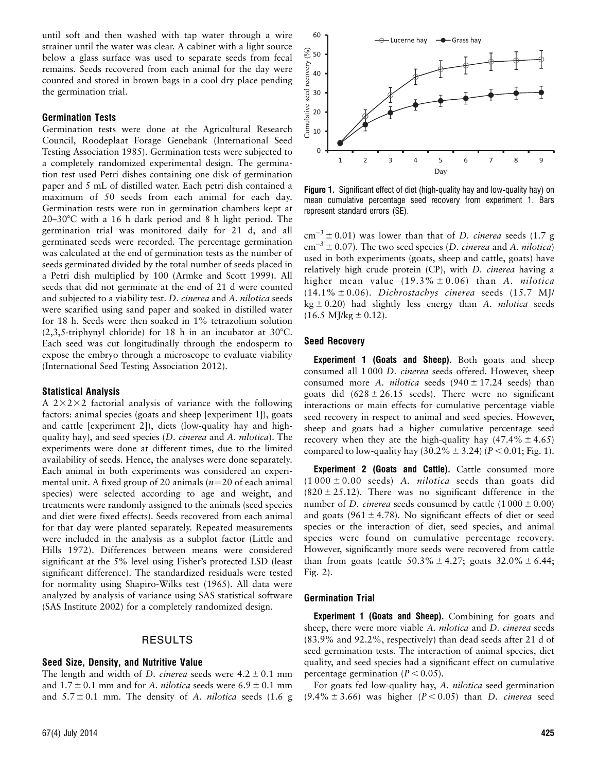until soft and then washed with tap water through a wire strainer until the water was clear. A cabinet with a light source below a glass surface was used to separate seeds from fecal remains. Seeds recovered from each animal for the day were counted and stored in brown bags in a cool dry place pending the germination trial.

## Germination Tests

Germination tests were done at the Agricultural Research Council, Roodeplaat Forage Genebank (International Seed Testing Association 1985). Germination tests were subjected to a completely randomized experimental design. The germination test used Petri dishes containing one disk of germination paper and 5 mL of distilled water. Each petri dish contained a maximum of 50 seeds from each animal for each day. Germination tests were run in germination chambers kept at  $20-30$ °C with a 16 h dark period and 8 h light period. The germination trial was monitored daily for 21 d, and all germinated seeds were recorded. The percentage germination was calculated at the end of germination tests as the number of seeds germinated divided by the total number of seeds placed in a Petri dish multiplied by 100 (Armke and Scott 1999). All seeds that did not germinate at the end of 21 d were counted and subjected to a viability test. D. cinerea and A. nilotica seeds were scarified using sand paper and soaked in distilled water for 18 h. Seeds were then soaked in 1% tetrazolium solution  $(2,3,5$ -triphynyl chloride) for 18 h in an incubator at 30°C. Each seed was cut longitudinally through the endosperm to expose the embryo through a microscope to evaluate viability (International Seed Testing Association 2012).

#### Statistical Analysis

A  $2\times2\times2$  factorial analysis of variance with the following factors: animal species (goats and sheep [experiment 1]), goats and cattle [experiment 2]), diets (low-quality hay and highquality hay), and seed species (D. cinerea and A. nilotica). The experiments were done at different times, due to the limited availability of seeds. Hence, the analyses were done separately. Each animal in both experiments was considered an experimental unit. A fixed group of 20 animals ( $n=20$  of each animal species) were selected according to age and weight, and treatments were randomly assigned to the animals (seed species and diet were fixed effects). Seeds recovered from each animal for that day were planted separately. Repeated measurements were included in the analysis as a subplot factor (Little and Hills 1972). Differences between means were considered significant at the 5% level using Fisher's protected LSD (least significant difference). The standardized residuals were tested for normality using Shapiro-Wilks test (1965). All data were analyzed by analysis of variance using SAS statistical software (SAS Institute 2002) for a completely randomized design.

## RESULTS

# Seed Size, Density, and Nutritive Value

The length and width of D. cinerea seeds were  $4.2 \pm 0.1$  mm and  $1.7 \pm 0.1$  mm and for A. *nilotica* seeds were  $6.9 \pm 0.1$  mm and  $5.7 \pm 0.1$  mm. The density of A. *nilotica* seeds (1.6 g



Figure 1. Significant effect of diet (high-quality hay and low-quality hay) on mean cumulative percentage seed recovery from experiment 1. Bars represent standard errors (SE).

 $\text{cm}^{-3} \pm 0.01$ ) was lower than that of D. *cinerea* seeds (1.7 g  $\text{cm}^{-3} \pm 0.07$ ). The two seed species (D. *cinerea* and A. *nilotica*) used in both experiments (goats, sheep and cattle, goats) have relatively high crude protein (CP), with D. cinerea having a higher mean value  $(19.3\% \pm 0.06)$  than A. nilotica  $(14.1\% \pm 0.06)$ . Dichrostachys cinerea seeds  $(15.7 \text{ M})$  $kg \pm 0.20$ ) had slightly less energy than A. nilotica seeds  $(16.5 \text{ MJ/kg} \pm 0.12).$ 

## Seed Recovery

**Experiment 1 (Goats and Sheep).** Both goats and sheep consumed all 1 000 D. cinerea seeds offered. However, sheep consumed more A. *nilotica* seeds  $(940 \pm 17.24$  seeds) than goats did  $(628 \pm 26.15 \text{ seeds})$ . There were no significant interactions or main effects for cumulative percentage viable seed recovery in respect to animal and seed species. However, sheep and goats had a higher cumulative percentage seed recovery when they ate the high-quality hay  $(47.4\% \pm 4.65)$ compared to low-quality hay (30.2%  $\pm$  3.24) (P < 0.01; Fig. 1).

Experiment 2 (Goats and Cattle). Cattle consumed more  $(1000 \pm 0.00$  seeds) A. *nilotica* seeds than goats did  $(820 \pm 25.12)$ . There was no significant difference in the number of D. *cinerea* seeds consumed by cattle  $(1000 \pm 0.00)$ and goats (961  $\pm$  4.78). No significant effects of diet or seed species or the interaction of diet, seed species, and animal species were found on cumulative percentage recovery. However, significantly more seeds were recovered from cattle than from goats (cattle  $50.3\% \pm 4.27$ ; goats  $32.0\% \pm 6.44$ ; Fig. 2).

#### Germination Trial

Experiment 1 (Goats and Sheep). Combining for goats and sheep, there were more viable A. nilotica and D. cinerea seeds (83.9% and 92.2%, respectively) than dead seeds after 21 d of seed germination tests. The interaction of animal species, diet quality, and seed species had a significant effect on cumulative percentage germination ( $P < 0.05$ ).

For goats fed low-quality hay, A. nilotica seed germination  $(9.4\% \pm 3.66)$  was higher  $(P < 0.05)$  than D. cinerea seed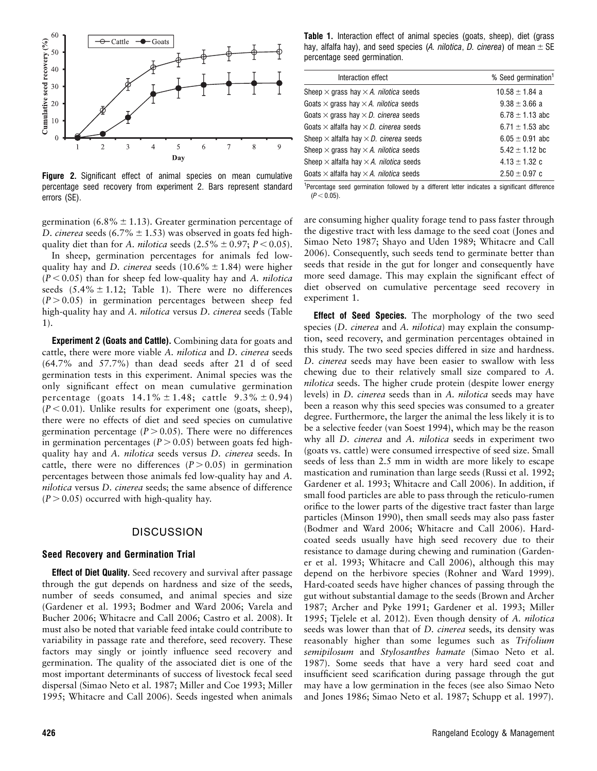

Figure 2. Significant effect of animal species on mean cumulative percentage seed recovery from experiment 2. Bars represent standard errors (SE).

germination (6.8%  $\pm$  1.13). Greater germination percentage of D. cinerea seeds (6.7%  $\pm$  1.53) was observed in goats fed highquality diet than for A. *nilotica* seeds  $(2.5\% \pm 0.97; P < 0.05)$ .

In sheep, germination percentages for animals fed lowquality hay and D. *cinerea* seeds  $(10.6\% \pm 1.84)$  were higher  $(P < 0.05)$  than for sheep fed low-quality hay and A. nilotica seeds  $(5.4\% \pm 1.12;$  Table 1). There were no differences  $(P > 0.05)$  in germination percentages between sheep fed high-quality hay and A. nilotica versus D. cinerea seeds (Table 1).

**Experiment 2 (Goats and Cattle).** Combining data for goats and cattle, there were more viable A. nilotica and D. cinerea seeds (64.7% and 57.7%) than dead seeds after 21 d of seed germination tests in this experiment. Animal species was the only significant effect on mean cumulative germination percentage (goats  $14.1\% \pm 1.48$ ; cattle  $9.3\% \pm 0.94$ )  $(P < 0.01)$ . Unlike results for experiment one (goats, sheep), there were no effects of diet and seed species on cumulative germination percentage ( $P > 0.05$ ). There were no differences in germination percentages ( $P > 0.05$ ) between goats fed highquality hay and A. nilotica seeds versus D. cinerea seeds. In cattle, there were no differences  $(P > 0.05)$  in germination percentages between those animals fed low-quality hay and A. nilotica versus D. cinerea seeds; the same absence of difference  $(P > 0.05)$  occurred with high-quality hay.

# **DISCUSSION**

#### Seed Recovery and Germination Trial

**Effect of Diet Quality.** Seed recovery and survival after passage through the gut depends on hardness and size of the seeds, number of seeds consumed, and animal species and size (Gardener et al. 1993; Bodmer and Ward 2006; Varela and Bucher 2006; Whitacre and Call 2006; Castro et al. 2008). It must also be noted that variable feed intake could contribute to variability in passage rate and therefore, seed recovery. These factors may singly or jointly influence seed recovery and germination. The quality of the associated diet is one of the most important determinants of success of livestock fecal seed dispersal (Simao Neto et al. 1987; Miller and Coe 1993; Miller 1995; Whitacre and Call 2006). Seeds ingested when animals

Table 1. Interaction effect of animal species (goats, sheep), diet (grass hay, alfalfa hay), and seed species (A. nilotica, D. cinerea) of mean  $\pm$  SE percentage seed germination.

| Interaction effect                                    | % Seed germination <sup>1</sup> |
|-------------------------------------------------------|---------------------------------|
| Sheep $\times$ grass hay $\times$ A. nilotica seeds   | $10.58 \pm 1.84$ a              |
| Goats $\times$ grass hay $\times$ A. nilotica seeds   | $9.38 \pm 3.66$ a               |
| Goats $\times$ grass hay $\times$ D. cinerea seeds    | $6.78 \pm 1.13$ abc             |
| Goats $\times$ alfalfa hay $\times$ D. cinerea seeds  | 6.71 $\pm$ 1.53 abc             |
| Sheep $\times$ alfalfa hay $\times$ D. cinerea seeds  | $6.05 \pm 0.91$ abc             |
| Sheep $\times$ grass hay $\times$ A. nilotica seeds   | $5.42 \pm 1.12$ bc              |
| Sheep $\times$ alfalfa hay $\times$ A. nilotica seeds | $4.13 \pm 1.32$ c               |
| Goats $\times$ alfalfa hay $\times$ A. nilotica seeds | $2.50 \pm 0.97$ c               |
|                                                       |                                 |

<sup>1</sup>Percentage seed germination followed by a different letter indicates a significant difference  $(P < 0.05)$ .

are consuming higher quality forage tend to pass faster through the digestive tract with less damage to the seed coat (Jones and Simao Neto 1987; Shayo and Uden 1989; Whitacre and Call 2006). Consequently, such seeds tend to germinate better than seeds that reside in the gut for longer and consequently have more seed damage. This may explain the significant effect of diet observed on cumulative percentage seed recovery in experiment 1.

**Effect of Seed Species.** The morphology of the two seed species (D. cinerea and A. nilotica) may explain the consumption, seed recovery, and germination percentages obtained in this study. The two seed species differed in size and hardness. D. cinerea seeds may have been easier to swallow with less chewing due to their relatively small size compared to A. nilotica seeds. The higher crude protein (despite lower energy levels) in D. cinerea seeds than in A. nilotica seeds may have been a reason why this seed species was consumed to a greater degree. Furthermore, the larger the animal the less likely it is to be a selective feeder (van Soest 1994), which may be the reason why all *D. cinerea* and *A. nilotica* seeds in experiment two (goats vs. cattle) were consumed irrespective of seed size. Small seeds of less than 2.5 mm in width are more likely to escape mastication and rumination than large seeds (Russi et al. 1992; Gardener et al. 1993; Whitacre and Call 2006). In addition, if small food particles are able to pass through the reticulo-rumen orifice to the lower parts of the digestive tract faster than large particles (Minson 1990), then small seeds may also pass faster (Bodmer and Ward 2006; Whitacre and Call 2006). Hardcoated seeds usually have high seed recovery due to their resistance to damage during chewing and rumination (Gardener et al. 1993; Whitacre and Call 2006), although this may depend on the herbivore species (Rohner and Ward 1999). Hard-coated seeds have higher chances of passing through the gut without substantial damage to the seeds (Brown and Archer 1987; Archer and Pyke 1991; Gardener et al. 1993; Miller 1995; Tjelele et al. 2012). Even though density of A. nilotica seeds was lower than that of D. cinerea seeds, its density was reasonably higher than some legumes such as Trifolium semipilosum and Stylosanthes hamate (Simao Neto et al. 1987). Some seeds that have a very hard seed coat and insufficient seed scarification during passage through the gut may have a low germination in the feces (see also Simao Neto and Jones 1986; Simao Neto et al. 1987; Schupp et al. 1997).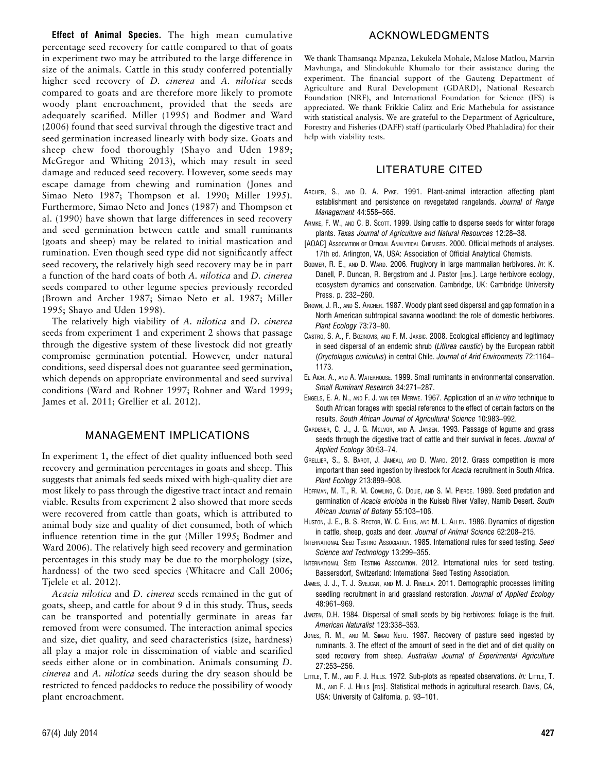**Effect of Animal Species.** The high mean cumulative percentage seed recovery for cattle compared to that of goats in experiment two may be attributed to the large difference in size of the animals. Cattle in this study conferred potentially higher seed recovery of D. cinerea and A. nilotica seeds compared to goats and are therefore more likely to promote woody plant encroachment, provided that the seeds are adequately scarified. Miller (1995) and Bodmer and Ward (2006) found that seed survival through the digestive tract and seed germination increased linearly with body size. Goats and sheep chew food thoroughly (Shayo and Uden 1989; McGregor and Whiting 2013), which may result in seed damage and reduced seed recovery. However, some seeds may escape damage from chewing and rumination (Jones and Simao Neto 1987; Thompson et al. 1990; Miller 1995). Furthermore, Simao Neto and Jones (1987) and Thompson et al. (1990) have shown that large differences in seed recovery and seed germination between cattle and small ruminants (goats and sheep) may be related to initial mastication and rumination. Even though seed type did not significantly affect seed recovery, the relatively high seed recovery may be in part a function of the hard coats of both A. nilotica and D. cinerea seeds compared to other legume species previously recorded (Brown and Archer 1987; Simao Neto et al. 1987; Miller 1995; Shayo and Uden 1998).

The relatively high viability of A. nilotica and D. cinerea seeds from experiment 1 and experiment 2 shows that passage through the digestive system of these livestock did not greatly compromise germination potential. However, under natural conditions, seed dispersal does not guarantee seed germination, which depends on appropriate environmental and seed survival conditions (Ward and Rohner 1997; Rohner and Ward 1999; James et al. 2011; Grellier et al. 2012).

# MANAGEMENT IMPLICATIONS

In experiment 1, the effect of diet quality influenced both seed recovery and germination percentages in goats and sheep. This suggests that animals fed seeds mixed with high-quality diet are most likely to pass through the digestive tract intact and remain viable. Results from experiment 2 also showed that more seeds were recovered from cattle than goats, which is attributed to animal body size and quality of diet consumed, both of which influence retention time in the gut (Miller 1995; Bodmer and Ward 2006). The relatively high seed recovery and germination percentages in this study may be due to the morphology (size, hardness) of the two seed species (Whitacre and Call 2006; Tjelele et al. 2012).

Acacia nilotica and D. cinerea seeds remained in the gut of goats, sheep, and cattle for about 9 d in this study. Thus, seeds can be transported and potentially germinate in areas far removed from were consumed. The interaction animal species and size, diet quality, and seed characteristics (size, hardness) all play a major role in dissemination of viable and scarified seeds either alone or in combination. Animals consuming D. cinerea and A. nilotica seeds during the dry season should be restricted to fenced paddocks to reduce the possibility of woody plant encroachment.

## ACKNOWLEDGMENTS

We thank Thamsanqa Mpanza, Lekukela Mohale, Malose Matlou, Marvin Mavhunga, and Slindokuhle Khumalo for their assistance during the experiment. The financial support of the Gauteng Department of Agriculture and Rural Development (GDARD), National Research Foundation (NRF), and International Foundation for Science (IFS) is appreciated. We thank Frikkie Calitz and Eric Mathebula for assistance with statistical analysis. We are grateful to the Department of Agriculture, Forestry and Fisheries (DAFF) staff (particularly Obed Phahladira) for their help with viability tests.

## LITERATURE CITED

- ARCHER, S., AND D. A. PYKE. 1991. Plant-animal interaction affecting plant establishment and persistence on revegetated rangelands. Journal of Range Management 44:558–565.
- ARMKE, F. W., AND C. B. SCOTT. 1999. Using cattle to disperse seeds for winter forage plants. Texas Journal of Agriculture and Natural Resources 12:28–38.
- [AOAC] Association of Official Analytical Chemists. 2000. Official methods of analyses. 17th ed. Arlington, VA, USA: Association of Official Analytical Chemists.
- BODMER, R. E., AND D. WARD. 2006. Frugivory in large mammalian herbivores. In: K. Danell, P. Duncan, R. Bergstrom and J. Pastor [EDS.]. Large herbivore ecology, ecosystem dynamics and conservation. Cambridge, UK: Cambridge University Press. p. 232–260.
- BROWN, J. R., AND S. ARCHER. 1987. Woody plant seed dispersal and gap formation in a North American subtropical savanna woodland: the role of domestic herbivores. Plant Ecology 73:73–80.
- CASTRO, S. A., F. BOZINOVIS, AND F. M. JAKSIC. 2008. Ecological efficiency and legitimacy in seed dispersal of an endemic shrub (Lithrea caustic) by the European rabbit (Oryctolagus cuniculus) in central Chile. Journal of Arid Environments 72:1164– 1173.
- EL AICH, A., AND A. WATERHOUSE. 1999. Small ruminants in environmental conservation. Small Ruminant Research 34:271–287.
- ENGELS, E. A. N., AND F. J. VAN DER MERWE. 1967. Application of an in vitro technique to South African forages with special reference to the effect of certain factors on the results. South African Journal of Agricultural Science 10:983–992.
- GARDENER, C. J., J. G. MCLVOR, AND A. JANSEN. 1993. Passage of legume and grass seeds through the digestive tract of cattle and their survival in feces. Journal of Applied Ecology 30:63–74.
- GRELLIER, S., S. BAROT, J. JANEAU, AND D. WARD. 2012. Grass competition is more important than seed ingestion by livestock for Acacia recruitment in South Africa. Plant Ecology 213:899–908.
- HOFFMAN, M. T., R. M. COWLING, C. DOUIE, AND S. M. PIERCE. 1989. Seed predation and germination of Acacia erioloba in the Kuiseb River Valley, Namib Desert. South African Journal of Botany 55:103–106.
- HUSTON, J. E., B. S. RECTOR, W. C. ELLIS, AND M. L. ALLEN. 1986. Dynamics of digestion in cattle, sheep, goats and deer. Journal of Animal Science 62:208–215.
- INTERNATIONAL SEED TESTING ASSOCIATION. 1985. International rules for seed testing. Seed Science and Technology 13:299–355.
- INTERNATIONAL SEED TESTING ASSOCIATION. 2012. International rules for seed testing. Bassersdorf, Switzerland: International Seed Testing Association.
- JAMES, J. J., T. J. SVEJCAR, AND M. J. RINELLA. 2011. Demographic processes limiting seedling recruitment in arid grassland restoration. Journal of Applied Ecology 48:961–969.
- JANZEN, D.H. 1984. Dispersal of small seeds by big herbivores: foliage is the fruit. American Naturalist 123:338–353.
- JONES, R. M., AND M. SIMAO NETO. 1987. Recovery of pasture seed ingested by ruminants. 3. The effect of the amount of seed in the diet and of diet quality on seed recovery from sheep. Australian Journal of Experimental Agriculture 27:253–256.
- LITTLE, T. M., AND F. J. HILLS. 1972. Sub-plots as repeated observations. In: LITTLE, T. M., AND F. J. HILLS [EDS]. Statistical methods in agricultural research. Davis, CA, USA: University of California. p. 93–101.